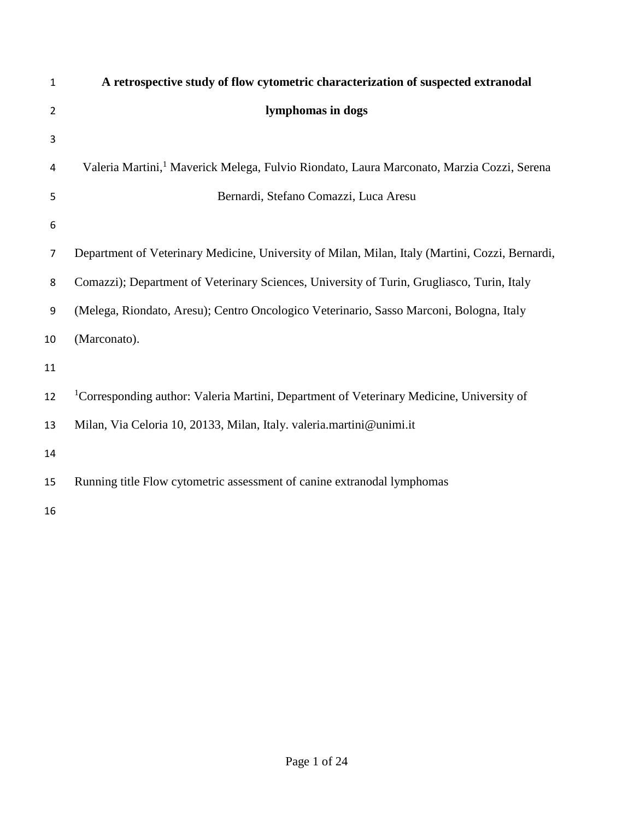| 1              | A retrospective study of flow cytometric characterization of suspected extranodal                     |
|----------------|-------------------------------------------------------------------------------------------------------|
| $\overline{2}$ | lymphomas in dogs                                                                                     |
| 3              |                                                                                                       |
| 4              | Valeria Martini, <sup>1</sup> Maverick Melega, Fulvio Riondato, Laura Marconato, Marzia Cozzi, Serena |
| 5              | Bernardi, Stefano Comazzi, Luca Aresu                                                                 |
| 6              |                                                                                                       |
| 7              | Department of Veterinary Medicine, University of Milan, Milan, Italy (Martini, Cozzi, Bernardi,       |
| 8              | Comazzi); Department of Veterinary Sciences, University of Turin, Grugliasco, Turin, Italy            |
| 9              | (Melega, Riondato, Aresu); Centro Oncologico Veterinario, Sasso Marconi, Bologna, Italy               |
| 10             | (Marconato).                                                                                          |
| 11             |                                                                                                       |
| 12             | <sup>1</sup> Corresponding author: Valeria Martini, Department of Veterinary Medicine, University of  |
| 13             | Milan, Via Celoria 10, 20133, Milan, Italy. valeria.martini@unimi.it                                  |
| 14             |                                                                                                       |
| 15             | Running title Flow cytometric assessment of canine extranodal lymphomas                               |
| 16             |                                                                                                       |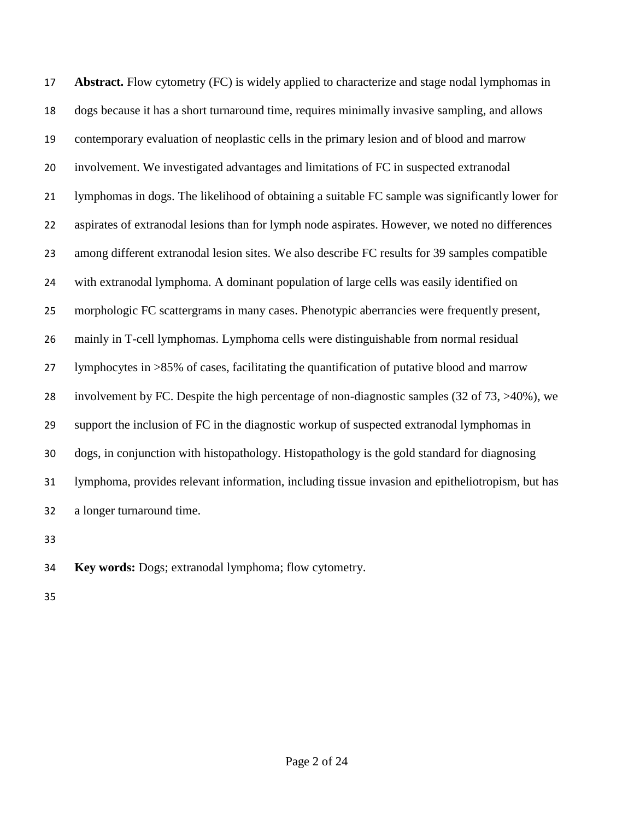**Abstract.** Flow cytometry (FC) is widely applied to characterize and stage nodal lymphomas in dogs because it has a short turnaround time, requires minimally invasive sampling, and allows contemporary evaluation of neoplastic cells in the primary lesion and of blood and marrow involvement. We investigated advantages and limitations of FC in suspected extranodal lymphomas in dogs. The likelihood of obtaining a suitable FC sample was significantly lower for aspirates of extranodal lesions than for lymph node aspirates. However, we noted no differences among different extranodal lesion sites. We also describe FC results for 39 samples compatible with extranodal lymphoma. A dominant population of large cells was easily identified on morphologic FC scattergrams in many cases. Phenotypic aberrancies were frequently present, mainly in T-cell lymphomas. Lymphoma cells were distinguishable from normal residual lymphocytes in >85% of cases, facilitating the quantification of putative blood and marrow involvement by FC. Despite the high percentage of non-diagnostic samples (32 of 73, >40%), we support the inclusion of FC in the diagnostic workup of suspected extranodal lymphomas in dogs, in conjunction with histopathology. Histopathology is the gold standard for diagnosing lymphoma, provides relevant information, including tissue invasion and epitheliotropism, but has a longer turnaround time.

**Key words:** Dogs; extranodal lymphoma; flow cytometry.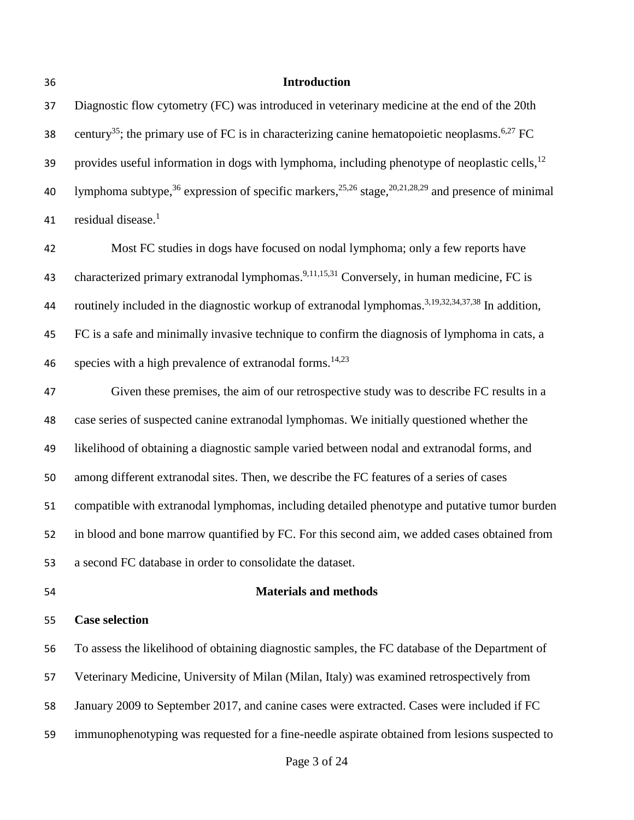#### **Introduction**

 Diagnostic flow cytometry (FC) was introduced in veterinary medicine at the end of the 20th 38 century<sup>35</sup>; the primary use of FC is in characterizing canine hematopoietic neoplasms.<sup>6,27</sup> FC provides useful information in dogs with lymphoma, including phenotype of neoplastic cells,<sup>12</sup> 40 lymphoma subtype,<sup>36</sup> expression of specific markers,<sup>25,26</sup> stage,<sup>20,21,28,29</sup> and presence of minimal residual disease. 1 

 Most FC studies in dogs have focused on nodal lymphoma; only a few reports have 43 characterized primary extranodal lymphomas.<sup>9,11,15,31</sup> Conversely, in human medicine, FC is 44 routinely included in the diagnostic workup of extranodal lymphomas.<sup>3,19,32,34,37,38</sup> In addition, FC is a safe and minimally invasive technique to confirm the diagnosis of lymphoma in cats, a species with a high prevalence of extranodal forms.<sup>14,23</sup> 

 Given these premises, the aim of our retrospective study was to describe FC results in a case series of suspected canine extranodal lymphomas. We initially questioned whether the likelihood of obtaining a diagnostic sample varied between nodal and extranodal forms, and among different extranodal sites. Then, we describe the FC features of a series of cases compatible with extranodal lymphomas, including detailed phenotype and putative tumor burden in blood and bone marrow quantified by FC. For this second aim, we added cases obtained from a second FC database in order to consolidate the dataset.

### **Case selection**

#### **Materials and methods**

 To assess the likelihood of obtaining diagnostic samples, the FC database of the Department of Veterinary Medicine, University of Milan (Milan, Italy) was examined retrospectively from January 2009 to September 2017, and canine cases were extracted. Cases were included if FC

immunophenotyping was requested for a fine-needle aspirate obtained from lesions suspected to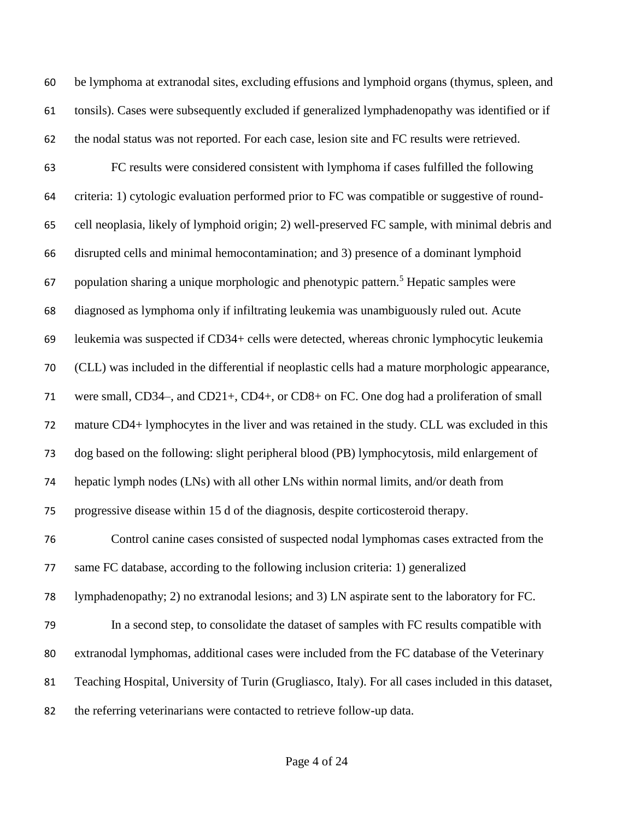be lymphoma at extranodal sites, excluding effusions and lymphoid organs (thymus, spleen, and tonsils). Cases were subsequently excluded if generalized lymphadenopathy was identified or if the nodal status was not reported. For each case, lesion site and FC results were retrieved. FC results were considered consistent with lymphoma if cases fulfilled the following criteria: 1) cytologic evaluation performed prior to FC was compatible or suggestive of round- cell neoplasia, likely of lymphoid origin; 2) well-preserved FC sample, with minimal debris and disrupted cells and minimal hemocontamination; and 3) presence of a dominant lymphoid 67 population sharing a unique morphologic and phenotypic pattern.<sup>5</sup> Hepatic samples were diagnosed as lymphoma only if infiltrating leukemia was unambiguously ruled out. Acute leukemia was suspected if CD34+ cells were detected, whereas chronic lymphocytic leukemia (CLL) was included in the differential if neoplastic cells had a mature morphologic appearance, were small, CD34–, and CD21+, CD4+, or CD8+ on FC. One dog had a proliferation of small mature CD4+ lymphocytes in the liver and was retained in the study. CLL was excluded in this dog based on the following: slight peripheral blood (PB) lymphocytosis, mild enlargement of hepatic lymph nodes (LNs) with all other LNs within normal limits, and/or death from progressive disease within 15 d of the diagnosis, despite corticosteroid therapy. Control canine cases consisted of suspected nodal lymphomas cases extracted from the same FC database, according to the following inclusion criteria: 1) generalized lymphadenopathy; 2) no extranodal lesions; and 3) LN aspirate sent to the laboratory for FC. In a second step, to consolidate the dataset of samples with FC results compatible with extranodal lymphomas, additional cases were included from the FC database of the Veterinary Teaching Hospital, University of Turin (Grugliasco, Italy). For all cases included in this dataset, the referring veterinarians were contacted to retrieve follow-up data.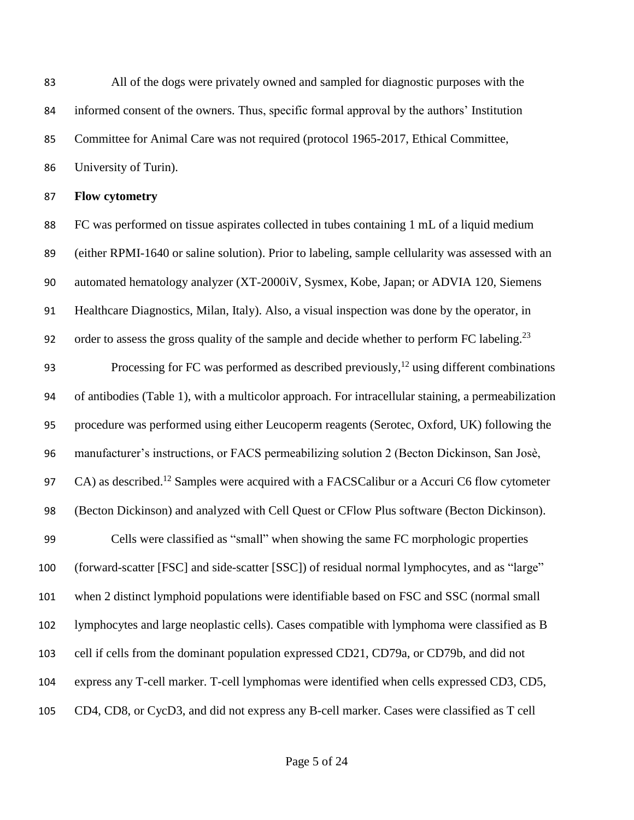All of the dogs were privately owned and sampled for diagnostic purposes with the informed consent of the owners. Thus, specific formal approval by the authors' Institution Committee for Animal Care was not required (protocol 1965-2017, Ethical Committee, University of Turin).

**Flow cytometry**

 FC was performed on tissue aspirates collected in tubes containing 1 mL of a liquid medium (either RPMI-1640 or saline solution). Prior to labeling, sample cellularity was assessed with an automated hematology analyzer (XT-2000iV, Sysmex, Kobe, Japan; or ADVIA 120, Siemens Healthcare Diagnostics, Milan, Italy). Also, a visual inspection was done by the operator, in order to assess the gross quality of the sample and decide whether to perform FC labeling.<sup>23</sup> 

93 Processing for FC was performed as described previously,<sup>12</sup> using different combinations of antibodies (Table 1), with a multicolor approach. For intracellular staining, a permeabilization procedure was performed using either Leucoperm reagents (Serotec, Oxford, UK) following the manufacturer's instructions, or FACS permeabilizing solution 2 (Becton Dickinson, San Josè, 97 CA) as described.<sup>12</sup> Samples were acquired with a FACSCalibur or a Accuri C6 flow cytometer (Becton Dickinson) and analyzed with Cell Quest or CFlow Plus software (Becton Dickinson). Cells were classified as "small" when showing the same FC morphologic properties (forward-scatter [FSC] and side-scatter [SSC]) of residual normal lymphocytes, and as "large" when 2 distinct lymphoid populations were identifiable based on FSC and SSC (normal small lymphocytes and large neoplastic cells). Cases compatible with lymphoma were classified as B cell if cells from the dominant population expressed CD21, CD79a, or CD79b, and did not express any T-cell marker. T-cell lymphomas were identified when cells expressed CD3, CD5, CD4, CD8, or CycD3, and did not express any B-cell marker. Cases were classified as T cell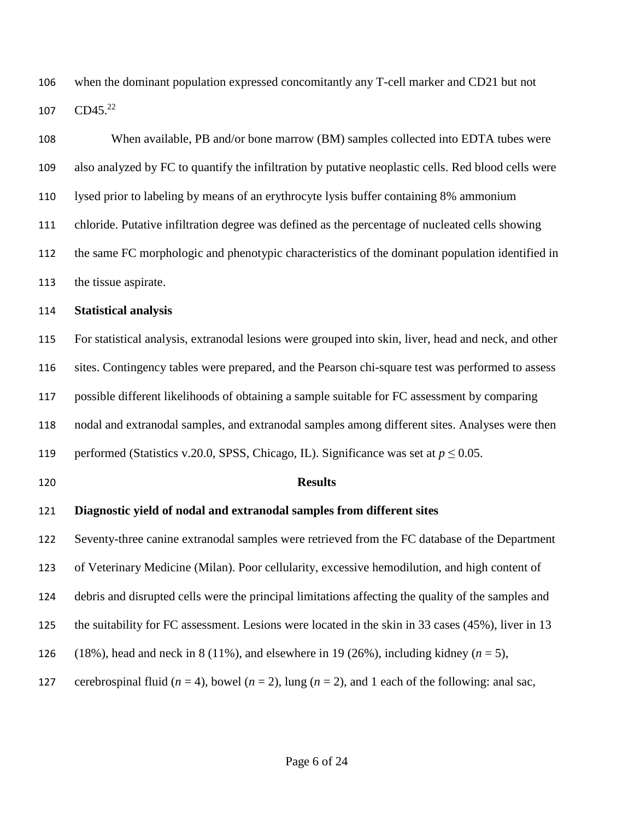when the dominant population expressed concomitantly any T-cell marker and CD21 but not CD45. 22 

| 108 | When available, PB and/or bone marrow (BM) samples collected into EDTA tubes were                            |
|-----|--------------------------------------------------------------------------------------------------------------|
| 109 | also analyzed by FC to quantify the infiltration by putative neoplastic cells. Red blood cells were          |
| 110 | lysed prior to labeling by means of an erythrocyte lysis buffer containing 8% ammonium                       |
| 111 | chloride. Putative infiltration degree was defined as the percentage of nucleated cells showing              |
| 112 | the same FC morphologic and phenotypic characteristics of the dominant population identified in              |
| 113 | the tissue aspirate.                                                                                         |
| 114 | <b>Statistical analysis</b>                                                                                  |
| 115 | For statistical analysis, extranodal lesions were grouped into skin, liver, head and neck, and other         |
| 116 | sites. Contingency tables were prepared, and the Pearson chi-square test was performed to assess             |
| 117 | possible different likelihoods of obtaining a sample suitable for FC assessment by comparing                 |
| 118 | nodal and extranodal samples, and extranodal samples among different sites. Analyses were then               |
| 119 | performed (Statistics v.20.0, SPSS, Chicago, IL). Significance was set at $p \le 0.05$ .                     |
| 120 | <b>Results</b>                                                                                               |
| 121 | Diagnostic yield of nodal and extranodal samples from different sites                                        |
| 122 | Seventy-three canine extranodal samples were retrieved from the FC database of the Department                |
| 123 | of Veterinary Medicine (Milan). Poor cellularity, excessive hemodilution, and high content of                |
| 124 | debris and disrupted cells were the principal limitations affecting the quality of the samples and           |
| 125 | the suitability for FC assessment. Lesions were located in the skin in 33 cases (45%), liver in 13           |
| 126 | (18%), head and neck in 8 (11%), and elsewhere in 19 (26%), including kidney ( $n = 5$ ),                    |
| 127 | cerebrospinal fluid ( $n = 4$ ), bowel ( $n = 2$ ), lung ( $n = 2$ ), and 1 each of the following: anal sac, |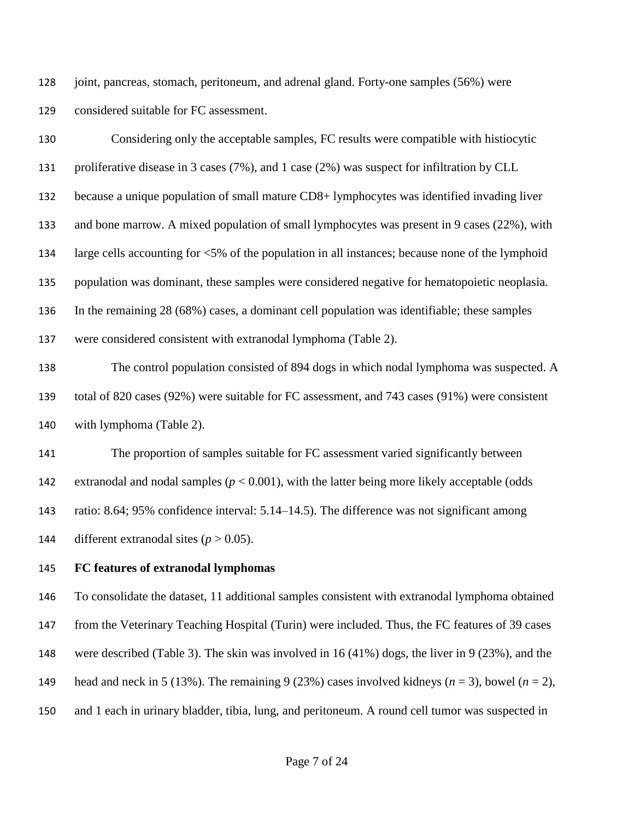joint, pancreas, stomach, peritoneum, and adrenal gland. Forty-one samples (56%) were considered suitable for FC assessment.

| 130 | Considering only the acceptable samples, FC results were compatible with histiocytic             |
|-----|--------------------------------------------------------------------------------------------------|
| 131 | proliferative disease in 3 cases (7%), and 1 case (2%) was suspect for infiltration by CLL       |
| 132 | because a unique population of small mature CD8+ lymphocytes was identified invading liver       |
| 133 | and bone marrow. A mixed population of small lymphocytes was present in 9 cases (22%), with      |
| 134 | large cells accounting for <5% of the population in all instances; because none of the lymphoid  |
| 135 | population was dominant, these samples were considered negative for hematopoietic neoplasia.     |
| 136 | In the remaining 28 (68%) cases, a dominant cell population was identifiable; these samples      |
| 137 | were considered consistent with extranodal lymphoma (Table 2).                                   |
| 138 | The control population consisted of 894 dogs in which nodal lymphoma was suspected. A            |
| 139 | total of 820 cases (92%) were suitable for FC assessment, and 743 cases (91%) were consistent    |
| 140 | with lymphoma (Table 2).                                                                         |
| 141 | The proportion of samples suitable for FC assessment varied significantly between                |
| 142 | extranodal and nodal samples ( $p < 0.001$ ), with the latter being more likely acceptable (odds |
| 143 | ratio: 8.64; 95% confidence interval: 5.14–14.5). The difference was not significant among       |
| 144 | different extranodal sites ( $p > 0.05$ ).                                                       |
| 145 | FC features of extranodal lymphomas                                                              |

 To consolidate the dataset, 11 additional samples consistent with extranodal lymphoma obtained from the Veterinary Teaching Hospital (Turin) were included. Thus, the FC features of 39 cases were described (Table 3). The skin was involved in 16 (41%) dogs, the liver in 9 (23%), and the 149 head and neck in 5 (13%). The remaining 9 (23%) cases involved kidneys  $(n = 3)$ , bowel  $(n = 2)$ , and 1 each in urinary bladder, tibia, lung, and peritoneum. A round cell tumor was suspected in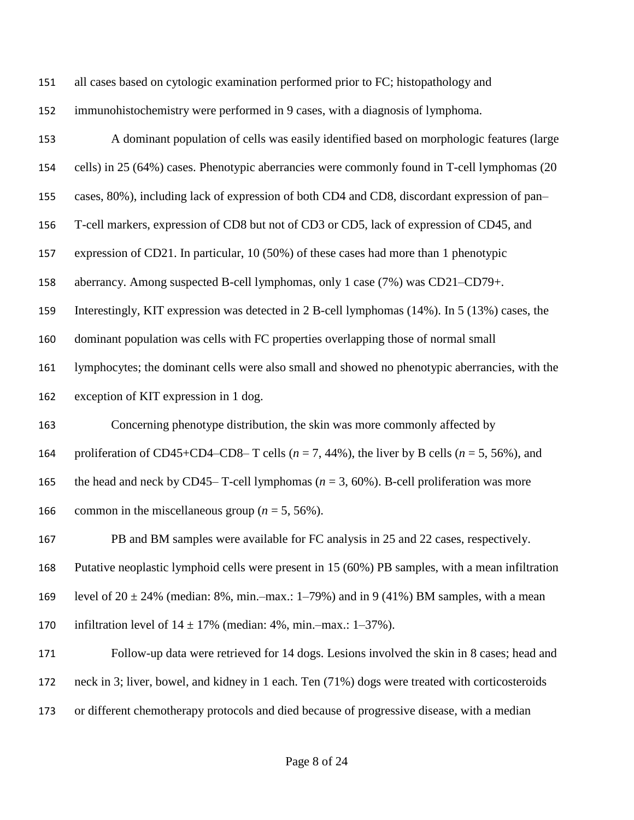| 151 | all cases based on cytologic examination performed prior to FC; histopathology and                  |
|-----|-----------------------------------------------------------------------------------------------------|
| 152 | immunohistochemistry were performed in 9 cases, with a diagnosis of lymphoma.                       |
| 153 | A dominant population of cells was easily identified based on morphologic features (large           |
| 154 | cells) in 25 (64%) cases. Phenotypic aberrancies were commonly found in T-cell lymphomas (20        |
| 155 | cases, 80%), including lack of expression of both CD4 and CD8, discordant expression of pan-        |
| 156 | T-cell markers, expression of CD8 but not of CD3 or CD5, lack of expression of CD45, and            |
| 157 | expression of CD21. In particular, 10 (50%) of these cases had more than 1 phenotypic               |
| 158 | aberrancy. Among suspected B-cell lymphomas, only 1 case (7%) was CD21-CD79+.                       |
| 159 | Interestingly, KIT expression was detected in 2 B-cell lymphomas (14%). In 5 (13%) cases, the       |
| 160 | dominant population was cells with FC properties overlapping those of normal small                  |
| 161 | lymphocytes; the dominant cells were also small and showed no phenotypic aberrancies, with the      |
| 162 | exception of KIT expression in 1 dog.                                                               |
| 163 | Concerning phenotype distribution, the skin was more commonly affected by                           |
| 164 | proliferation of CD45+CD4–CD8– T cells ( $n = 7$ , 44%), the liver by B cells ( $n = 5$ , 56%), and |
| 165 | the head and neck by CD45–T-cell lymphomas ( $n = 3$ , 60%). B-cell proliferation was more          |
| 166 | common in the miscellaneous group ( $n = 5, 56\%$ ).                                                |
| 167 | PB and BM samples were available for FC analysis in 25 and 22 cases, respectively.                  |
| 168 | Putative neoplastic lymphoid cells were present in 15 (60%) PB samples, with a mean infiltration    |
| 169 | level of $20 \pm 24\%$ (median: 8%, min.-max.: 1-79%) and in 9 (41%) BM samples, with a mean        |
| 170 | infiltration level of $14 \pm 17\%$ (median: 4%, min.-max.: 1-37%).                                 |
| 171 | Follow-up data were retrieved for 14 dogs. Lesions involved the skin in 8 cases; head and           |
| 172 | neck in 3; liver, bowel, and kidney in 1 each. Ten (71%) dogs were treated with corticosteroids     |
| 173 | or different chemotherapy protocols and died because of progressive disease, with a median          |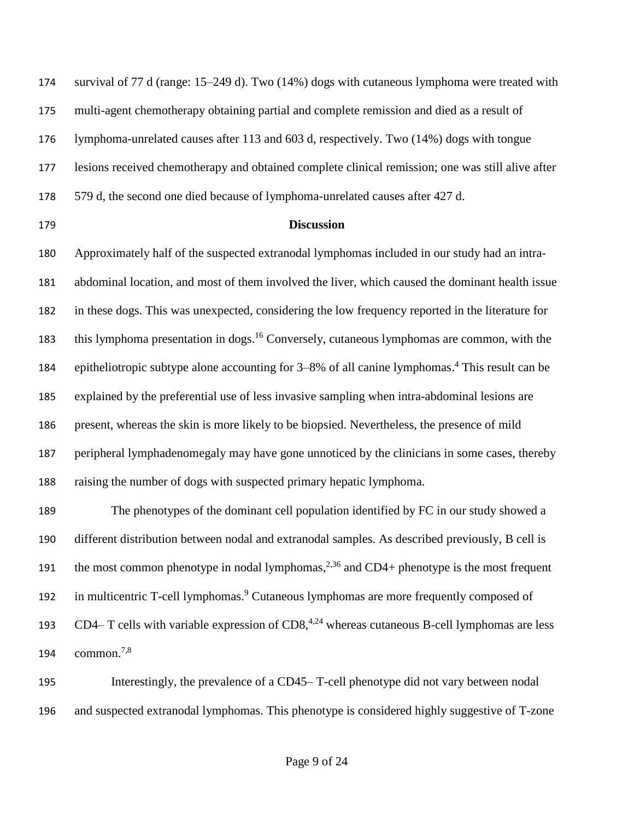survival of 77 d (range: 15–249 d). Two (14%) dogs with cutaneous lymphoma were treated with multi-agent chemotherapy obtaining partial and complete remission and died as a result of lymphoma-unrelated causes after 113 and 603 d, respectively. Two (14%) dogs with tongue lesions received chemotherapy and obtained complete clinical remission; one was still alive after 579 d, the second one died because of lymphoma-unrelated causes after 427 d.

#### **Discussion**

 Approximately half of the suspected extranodal lymphomas included in our study had an intra- abdominal location, and most of them involved the liver, which caused the dominant health issue in these dogs. This was unexpected, considering the low frequency reported in the literature for 183 this lymphoma presentation in dogs.<sup>16</sup> Conversely, cutaneous lymphomas are common, with the 184 epitheliotropic subtype alone accounting for 3–8% of all canine lymphomas.<sup>4</sup> This result can be explained by the preferential use of less invasive sampling when intra-abdominal lesions are present, whereas the skin is more likely to be biopsied. Nevertheless, the presence of mild peripheral lymphadenomegaly may have gone unnoticed by the clinicians in some cases, thereby raising the number of dogs with suspected primary hepatic lymphoma.

 The phenotypes of the dominant cell population identified by FC in our study showed a different distribution between nodal and extranodal samples. As described previously, B cell is 191 the most common phenotype in nodal lymphomas,  $2,36$  and CD4+ phenotype is the most frequent 192 in multicentric T-cell lymphomas.<sup>9</sup> Cutaneous lymphomas are more frequently composed of 193 CD4– T cells with variable expression of  $CD8$ ,<sup>4,24</sup> whereas cutaneous B-cell lymphomas are less common. 7,8 

 Interestingly, the prevalence of a CD45– T-cell phenotype did not vary between nodal and suspected extranodal lymphomas. This phenotype is considered highly suggestive of T-zone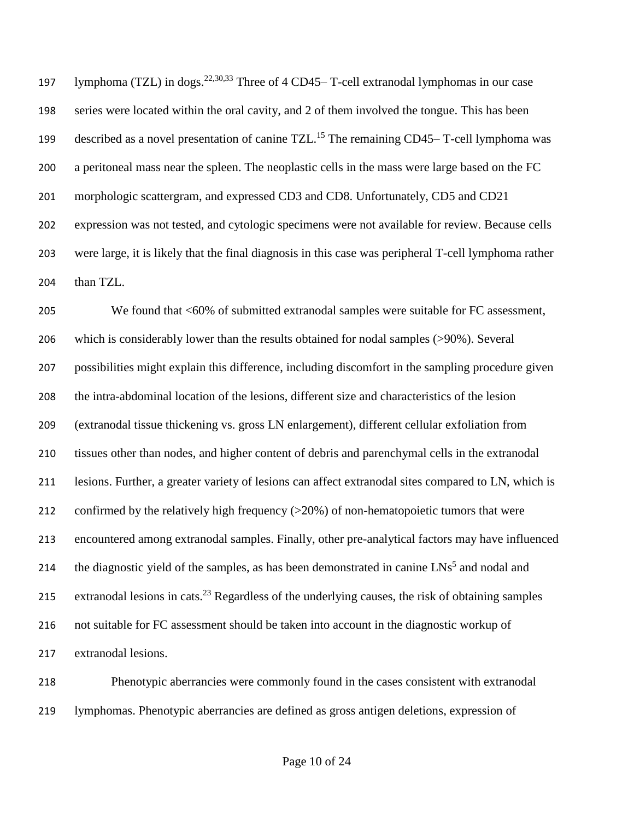197 lymphoma (TZL) in dogs.<sup>22,30,33</sup> Three of 4 CD45– T-cell extranodal lymphomas in our case series were located within the oral cavity, and 2 of them involved the tongue. This has been 199 described as a novel presentation of canine TZL.<sup>15</sup> The remaining CD45– T-cell lymphoma was a peritoneal mass near the spleen. The neoplastic cells in the mass were large based on the FC morphologic scattergram, and expressed CD3 and CD8. Unfortunately, CD5 and CD21 expression was not tested, and cytologic specimens were not available for review. Because cells were large, it is likely that the final diagnosis in this case was peripheral T-cell lymphoma rather 204 than TZL.

 We found that <60% of submitted extranodal samples were suitable for FC assessment, which is considerably lower than the results obtained for nodal samples (>90%). Several possibilities might explain this difference, including discomfort in the sampling procedure given the intra-abdominal location of the lesions, different size and characteristics of the lesion (extranodal tissue thickening vs. gross LN enlargement), different cellular exfoliation from tissues other than nodes, and higher content of debris and parenchymal cells in the extranodal lesions. Further, a greater variety of lesions can affect extranodal sites compared to LN, which is 212 confirmed by the relatively high frequency ( $>20\%$ ) of non-hematopoietic tumors that were encountered among extranodal samples. Finally, other pre-analytical factors may have influenced 214 the diagnostic yield of the samples, as has been demonstrated in canine  $LNs^5$  and nodal and 215 extranodal lesions in cats.<sup>23</sup> Regardless of the underlying causes, the risk of obtaining samples not suitable for FC assessment should be taken into account in the diagnostic workup of extranodal lesions.

 Phenotypic aberrancies were commonly found in the cases consistent with extranodal lymphomas. Phenotypic aberrancies are defined as gross antigen deletions, expression of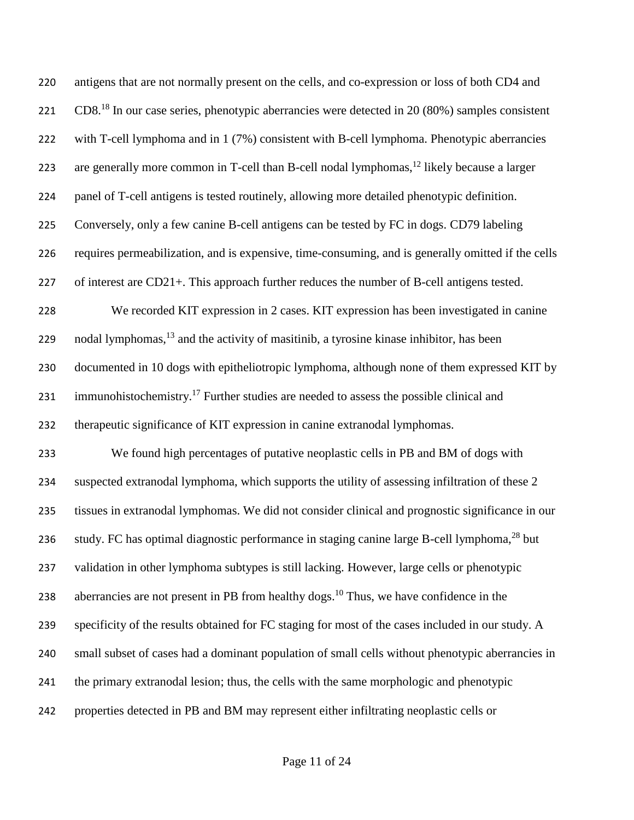| 220 | antigens that are not normally present on the cells, and co-expression or loss of both CD4 and          |
|-----|---------------------------------------------------------------------------------------------------------|
| 221 | $CD818$ In our case series, phenotypic aberrancies were detected in 20 (80%) samples consistent         |
| 222 | with T-cell lymphoma and in 1 (7%) consistent with B-cell lymphoma. Phenotypic aberrancies              |
| 223 | are generally more common in T-cell than B-cell nodal lymphomas, $^{12}$ likely because a larger        |
| 224 | panel of T-cell antigens is tested routinely, allowing more detailed phenotypic definition.             |
| 225 | Conversely, only a few canine B-cell antigens can be tested by FC in dogs. CD79 labeling                |
| 226 | requires permeabilization, and is expensive, time-consuming, and is generally omitted if the cells      |
| 227 | of interest are CD21+. This approach further reduces the number of B-cell antigens tested.              |
| 228 | We recorded KIT expression in 2 cases. KIT expression has been investigated in canine                   |
| 229 | nodal lymphomas, <sup>13</sup> and the activity of masitinib, a tyrosine kinase inhibitor, has been     |
| 230 | documented in 10 dogs with epitheliotropic lymphoma, although none of them expressed KIT by             |
| 231 | immunohistochemistry. <sup>17</sup> Further studies are needed to assess the possible clinical and      |
| 232 | therapeutic significance of KIT expression in canine extranodal lymphomas.                              |
| 233 | We found high percentages of putative neoplastic cells in PB and BM of dogs with                        |
| 234 | suspected extranodal lymphoma, which supports the utility of assessing infiltration of these 2          |
| 235 | tissues in extranodal lymphomas. We did not consider clinical and prognostic significance in our        |
| 236 | study. FC has optimal diagnostic performance in staging canine large B-cell lymphoma, <sup>28</sup> but |
| 237 | validation in other lymphoma subtypes is still lacking. However, large cells or phenotypic              |
| 238 | aberrancies are not present in PB from healthy dogs. <sup>10</sup> Thus, we have confidence in the      |
| 239 | specificity of the results obtained for FC staging for most of the cases included in our study. A       |
| 240 | small subset of cases had a dominant population of small cells without phenotypic aberrancies in        |
| 241 | the primary extranodal lesion; thus, the cells with the same morphologic and phenotypic                 |
| 242 | properties detected in PB and BM may represent either infiltrating neoplastic cells or                  |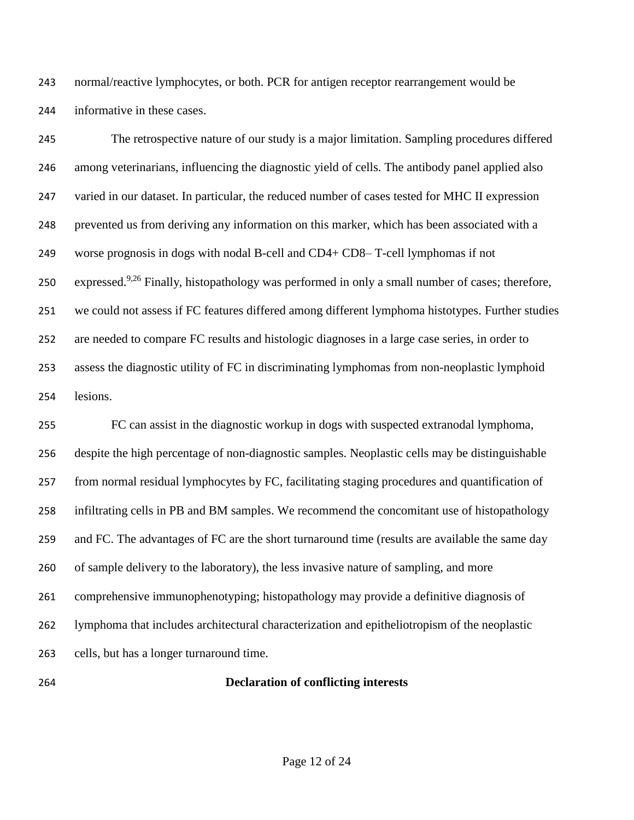normal/reactive lymphocytes, or both. PCR for antigen receptor rearrangement would be informative in these cases.

 The retrospective nature of our study is a major limitation. Sampling procedures differed among veterinarians, influencing the diagnostic yield of cells. The antibody panel applied also varied in our dataset. In particular, the reduced number of cases tested for MHC II expression prevented us from deriving any information on this marker, which has been associated with a worse prognosis in dogs with nodal B-cell and CD4+ CD8– T-cell lymphomas if not 250 expressed.<sup>9,26</sup> Finally, histopathology was performed in only a small number of cases; therefore, we could not assess if FC features differed among different lymphoma histotypes. Further studies are needed to compare FC results and histologic diagnoses in a large case series, in order to assess the diagnostic utility of FC in discriminating lymphomas from non-neoplastic lymphoid lesions.

 FC can assist in the diagnostic workup in dogs with suspected extranodal lymphoma, despite the high percentage of non-diagnostic samples. Neoplastic cells may be distinguishable from normal residual lymphocytes by FC, facilitating staging procedures and quantification of infiltrating cells in PB and BM samples. We recommend the concomitant use of histopathology and FC. The advantages of FC are the short turnaround time (results are available the same day of sample delivery to the laboratory), the less invasive nature of sampling, and more comprehensive immunophenotyping; histopathology may provide a definitive diagnosis of lymphoma that includes architectural characterization and epitheliotropism of the neoplastic cells, but has a longer turnaround time.

#### **Declaration of conflicting interests**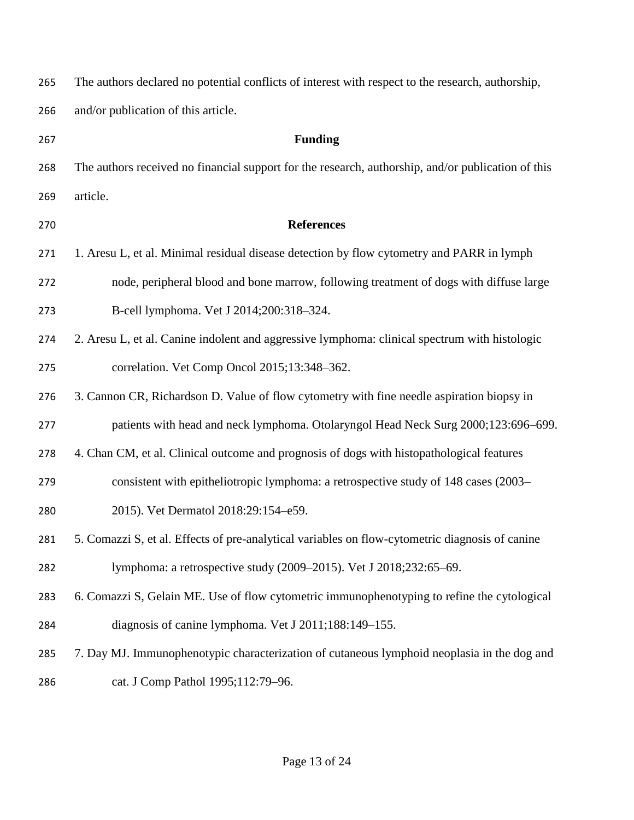| 265 | The authors declared no potential conflicts of interest with respect to the research, authorship,  |
|-----|----------------------------------------------------------------------------------------------------|
| 266 | and/or publication of this article.                                                                |
| 267 | <b>Funding</b>                                                                                     |
| 268 | The authors received no financial support for the research, authorship, and/or publication of this |
| 269 | article.                                                                                           |
| 270 | <b>References</b>                                                                                  |
| 271 | 1. Aresu L, et al. Minimal residual disease detection by flow cytometry and PARR in lymph          |
| 272 | node, peripheral blood and bone marrow, following treatment of dogs with diffuse large             |
| 273 | B-cell lymphoma. Vet J 2014;200:318-324.                                                           |
| 274 | 2. Aresu L, et al. Canine indolent and aggressive lymphoma: clinical spectrum with histologic      |
| 275 | correlation. Vet Comp Oncol 2015;13:348-362.                                                       |
| 276 | 3. Cannon CR, Richardson D. Value of flow cytometry with fine needle aspiration biopsy in          |
| 277 | patients with head and neck lymphoma. Otolaryngol Head Neck Surg 2000;123:696-699.                 |
| 278 | 4. Chan CM, et al. Clinical outcome and prognosis of dogs with histopathological features          |
| 279 | consistent with epitheliotropic lymphoma: a retrospective study of 148 cases (2003–                |
| 280 | 2015). Vet Dermatol 2018:29:154-e59.                                                               |
| 281 | 5. Comazzi S, et al. Effects of pre-analytical variables on flow-cytometric diagnosis of canine    |
| 282 | lymphoma: a retrospective study (2009–2015). Vet J 2018;232:65–69.                                 |
| 283 | 6. Comazzi S, Gelain ME. Use of flow cytometric immunophenotyping to refine the cytological        |
| 284 | diagnosis of canine lymphoma. Vet J 2011;188:149-155.                                              |
| 285 | 7. Day MJ. Immunophenotypic characterization of cutaneous lymphoid neoplasia in the dog and        |
| 286 | cat. J Comp Pathol 1995;112:79-96.                                                                 |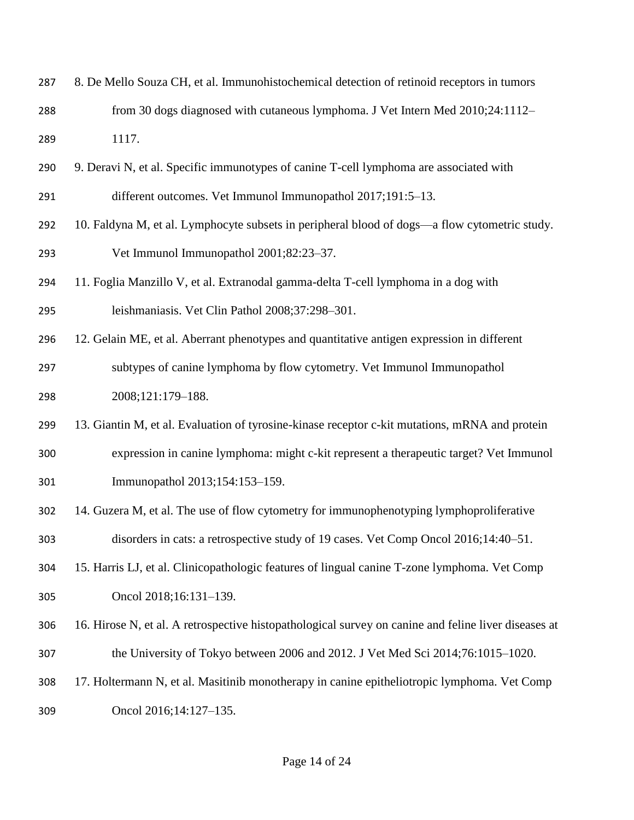| 287 | 8. De Mello Souza CH, et al. Immunohistochemical detection of retinoid receptors in tumors           |
|-----|------------------------------------------------------------------------------------------------------|
| 288 | from 30 dogs diagnosed with cutaneous lymphoma. J Vet Intern Med 2010;24:1112-                       |
| 289 | 1117.                                                                                                |
| 290 | 9. Deravi N, et al. Specific immunotypes of canine T-cell lymphoma are associated with               |
| 291 | different outcomes. Vet Immunol Immunopathol 2017;191:5-13.                                          |
| 292 | 10. Faldyna M, et al. Lymphocyte subsets in peripheral blood of dogs-a flow cytometric study.        |
| 293 | Vet Immunol Immunopathol 2001;82:23-37.                                                              |
| 294 | 11. Foglia Manzillo V, et al. Extranodal gamma-delta T-cell lymphoma in a dog with                   |
| 295 | leishmaniasis. Vet Clin Pathol 2008;37:298-301.                                                      |
| 296 | 12. Gelain ME, et al. Aberrant phenotypes and quantitative antigen expression in different           |
| 297 | subtypes of canine lymphoma by flow cytometry. Vet Immunol Immunopathol                              |
| 298 | 2008;121:179-188.                                                                                    |
| 299 | 13. Giantin M, et al. Evaluation of tyrosine-kinase receptor c-kit mutations, mRNA and protein       |
| 300 | expression in canine lymphoma: might c-kit represent a therapeutic target? Vet Immunol               |
| 301 | Immunopathol 2013;154:153-159.                                                                       |
| 302 | 14. Guzera M, et al. The use of flow cytometry for immunophenotyping lymphoproliferative             |
| 303 | disorders in cats: a retrospective study of 19 cases. Vet Comp Oncol 2016;14:40–51.                  |
| 304 | 15. Harris LJ, et al. Clinicopathologic features of lingual canine T-zone lymphoma. Vet Comp         |
| 305 | Oncol 2018;16:131-139.                                                                               |
| 306 | 16. Hirose N, et al. A retrospective histopathological survey on canine and feline liver diseases at |
| 307 | the University of Tokyo between 2006 and 2012. J Vet Med Sci 2014;76:1015-1020.                      |
| 308 | 17. Holtermann N, et al. Masitinib monotherapy in canine epitheliotropic lymphoma. Vet Comp          |
| 309 | Oncol 2016;14:127-135.                                                                               |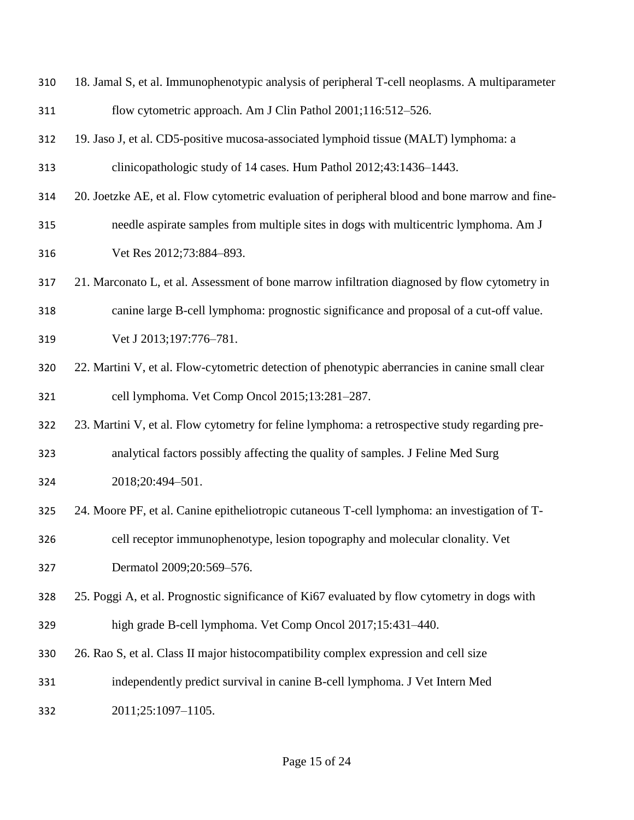flow cytometric approach. Am J Clin Pathol 2001;116:512–526. 19. Jaso J, et al. CD5-positive mucosa-associated lymphoid tissue (MALT) lymphoma: a clinicopathologic study of 14 cases. Hum Pathol 2012;43:1436–1443. 20. Joetzke AE, et al. Flow cytometric evaluation of peripheral blood and bone marrow and fine- needle aspirate samples from multiple sites in dogs with multicentric lymphoma. Am J Vet Res 2012;73:884–893. 21. Marconato L, et al. Assessment of bone marrow infiltration diagnosed by flow cytometry in canine large B-cell lymphoma: prognostic significance and proposal of a cut-off value. Vet J 2013;197:776–781. 22. Martini V, et al. Flow-cytometric detection of phenotypic aberrancies in canine small clear cell lymphoma. Vet Comp Oncol 2015;13:281–287. 23. Martini V, et al. Flow cytometry for feline lymphoma: a retrospective study regarding pre- analytical factors possibly affecting the quality of samples. J Feline Med Surg 2018;20:494–501. 24. Moore PF, et al. Canine epitheliotropic cutaneous T-cell lymphoma: an investigation of T- cell receptor immunophenotype, lesion topography and molecular clonality. Vet Dermatol 2009;20:569–576. 25. Poggi A, et al. Prognostic significance of Ki67 evaluated by flow cytometry in dogs with high grade B-cell lymphoma. Vet Comp Oncol 2017;15:431–440. 26. Rao S, et al. Class II major histocompatibility complex expression and cell size independently predict survival in canine B-cell lymphoma. J Vet Intern Med 2011;25:1097–1105.

18. Jamal S, et al. Immunophenotypic analysis of peripheral T-cell neoplasms. A multiparameter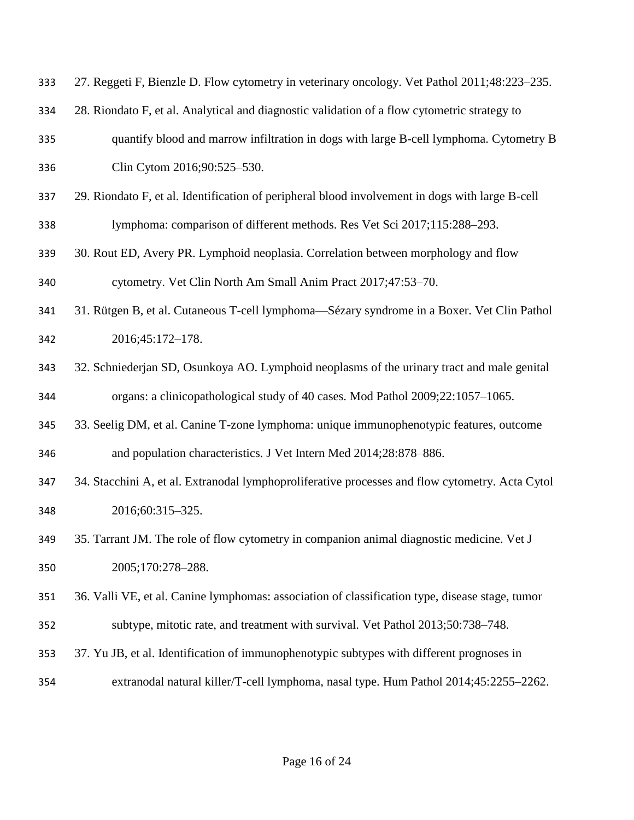| 333 | 27. Reggeti F, Bienzle D. Flow cytometry in veterinary oncology. Vet Pathol 2011;48:223-235.    |
|-----|-------------------------------------------------------------------------------------------------|
| 334 | 28. Riondato F, et al. Analytical and diagnostic validation of a flow cytometric strategy to    |
| 335 | quantify blood and marrow infiltration in dogs with large B-cell lymphoma. Cytometry B          |
| 336 | Clin Cytom 2016;90:525-530.                                                                     |
| 337 | 29. Riondato F, et al. Identification of peripheral blood involvement in dogs with large B-cell |
| 338 | lymphoma: comparison of different methods. Res Vet Sci 2017;115:288-293.                        |
| 339 | 30. Rout ED, Avery PR. Lymphoid neoplasia. Correlation between morphology and flow              |
| 340 | cytometry. Vet Clin North Am Small Anim Pract 2017;47:53-70.                                    |
| 341 | 31. Rütgen B, et al. Cutaneous T-cell lymphoma—Sézary syndrome in a Boxer. Vet Clin Pathol      |
| 342 | 2016;45:172-178.                                                                                |
| 343 | 32. Schniederjan SD, Osunkoya AO. Lymphoid neoplasms of the urinary tract and male genital      |
| 344 | organs: a clinicopathological study of 40 cases. Mod Pathol 2009;22:1057-1065.                  |
| 345 | 33. Seelig DM, et al. Canine T-zone lymphoma: unique immunophenotypic features, outcome         |
| 346 | and population characteristics. J Vet Intern Med 2014;28:878-886.                               |
| 347 | 34. Stacchini A, et al. Extranodal lymphoproliferative processes and flow cytometry. Acta Cytol |
| 348 | 2016;60:315-325.                                                                                |
| 349 | 35. Tarrant JM. The role of flow cytometry in companion animal diagnostic medicine. Vet J       |
| 350 | 2005;170:278-288.                                                                               |
| 351 | 36. Valli VE, et al. Canine lymphomas: association of classification type, disease stage, tumor |
| 352 | subtype, mitotic rate, and treatment with survival. Vet Pathol 2013;50:738–748.                 |
| 353 | 37. Yu JB, et al. Identification of immunophenotypic subtypes with different prognoses in       |
| 354 | extranodal natural killer/T-cell lymphoma, nasal type. Hum Pathol 2014;45:2255-2262.            |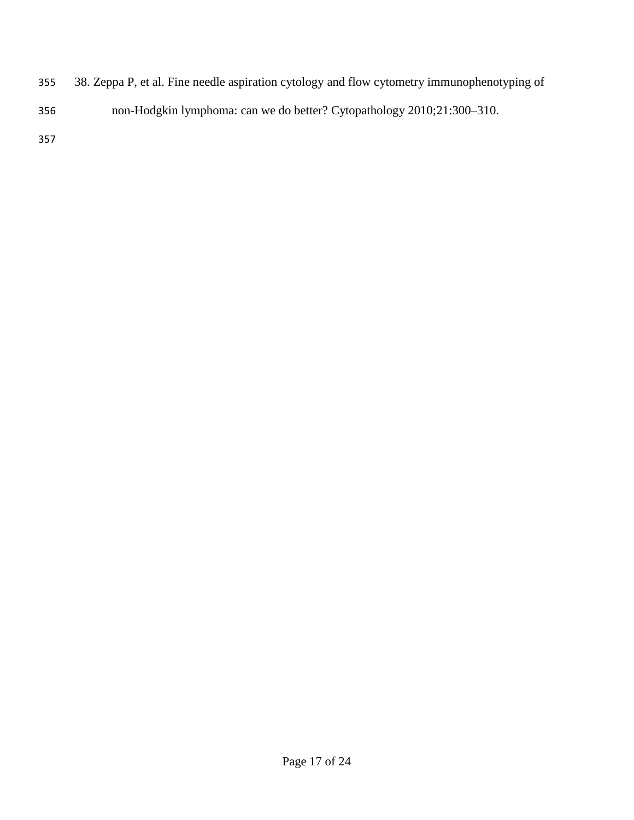- 38. Zeppa P, et al. Fine needle aspiration cytology and flow cytometry immunophenotyping of
- non-Hodgkin lymphoma: can we do better? Cytopathology 2010;21:300–310.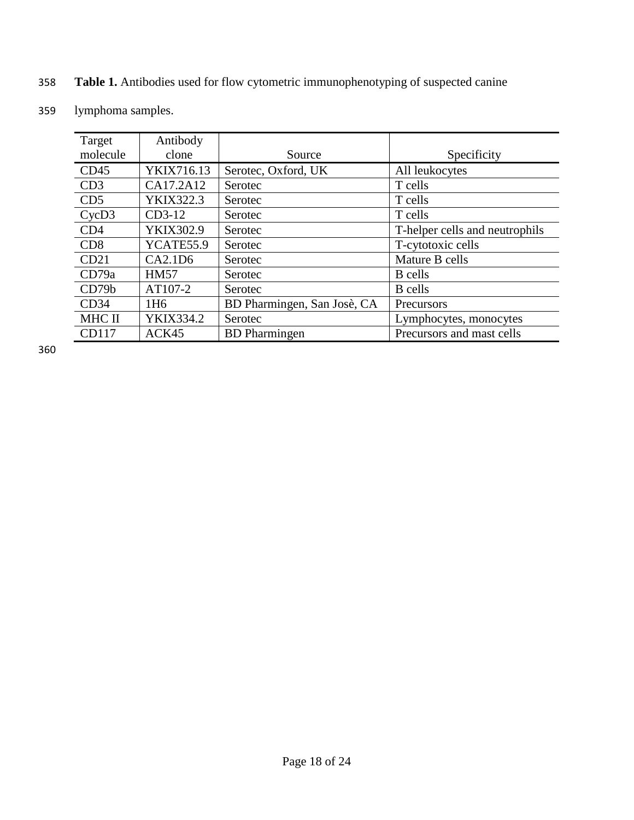# 358 **Table 1.** Antibodies used for flow cytometric immunophenotyping of suspected canine

| 359 | lymphoma samples. |  |
|-----|-------------------|--|
|-----|-------------------|--|

| Target          | Antibody        |                             |                                |
|-----------------|-----------------|-----------------------------|--------------------------------|
| molecule        | clone           | Source                      | Specificity                    |
| CD45            | YKIX716.13      | Serotec, Oxford, UK         | All leukocytes                 |
| CD3             | CA17.2A12       | Serotec                     | T cells                        |
| CD <sub>5</sub> | YKIX322.3       | Serotec                     | T cells                        |
| CycD3           | $CD3-12$        | Serotec                     | T cells                        |
| CD <sub>4</sub> | YKIX302.9       | Serotec                     | T-helper cells and neutrophils |
| CD <sub>8</sub> | YCATE55.9       | Serotec                     | T-cytotoxic cells              |
| CD21            | CA2.1D6         | Serotec                     | Mature B cells                 |
| CD79a           | <b>HM57</b>     | Serotec                     | <b>B</b> cells                 |
| CD79b           | AT107-2         | Serotec                     | <b>B</b> cells                 |
| CD34            | 1H <sub>6</sub> | BD Pharmingen, San Josè, CA | Precursors                     |
| MHC II          | YKIX334.2       | Serotec                     | Lymphocytes, monocytes         |
| CD117           | ACK45           | <b>BD</b> Pharmingen        | Precursors and mast cells      |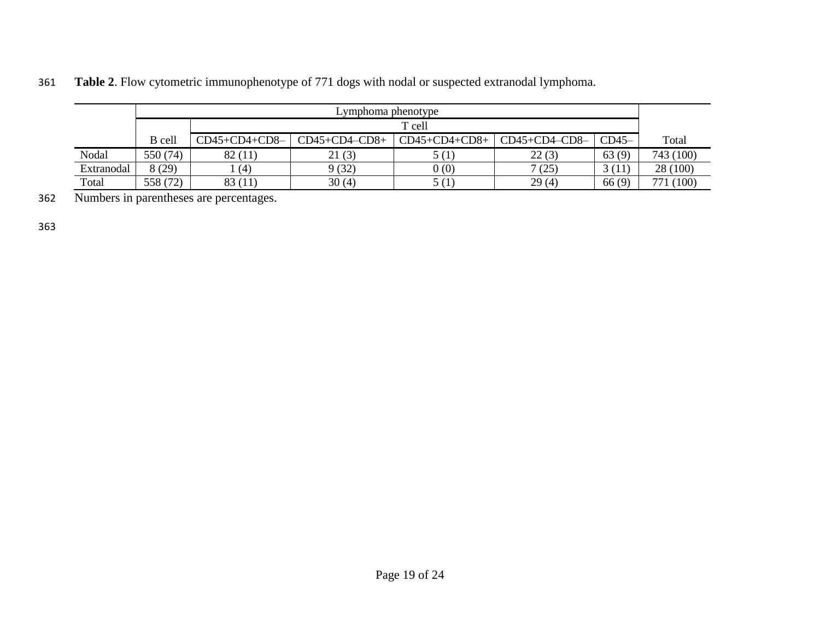|            | Lymphoma phenotype                                                                            |         |        |       |       |        |           |  |  |  |  |  |  |  |
|------------|-----------------------------------------------------------------------------------------------|---------|--------|-------|-------|--------|-----------|--|--|--|--|--|--|--|
|            |                                                                                               | T cell  |        |       |       |        |           |  |  |  |  |  |  |  |
|            | $CD45+CD4-CD8+$<br>$CD45+CD4+CD8+$<br>$CD45-$<br>$CD45+CD4+CD8-$<br>$CD45+CD4-CD8-$<br>B cell |         |        |       |       |        |           |  |  |  |  |  |  |  |
| Nodal      | 550 (74)                                                                                      | 82(11)  | 21(3)  |       | 22(3) | 63(9)  | 743 (100) |  |  |  |  |  |  |  |
| Extranodal | 8 (29)                                                                                        | (4)     | 9 (32) | 0(0)  | (25)  | 3 (11) | 28 (100)  |  |  |  |  |  |  |  |
| Total      | 558 (72)                                                                                      | 83 (11) | 30(4)  | 5 (1) | 29(4) | 66(9)  | 771 (100) |  |  |  |  |  |  |  |

361 **Table 2**. Flow cytometric immunophenotype of 771 dogs with nodal or suspected extranodal lymphoma.

362 Numbers in parentheses are percentages.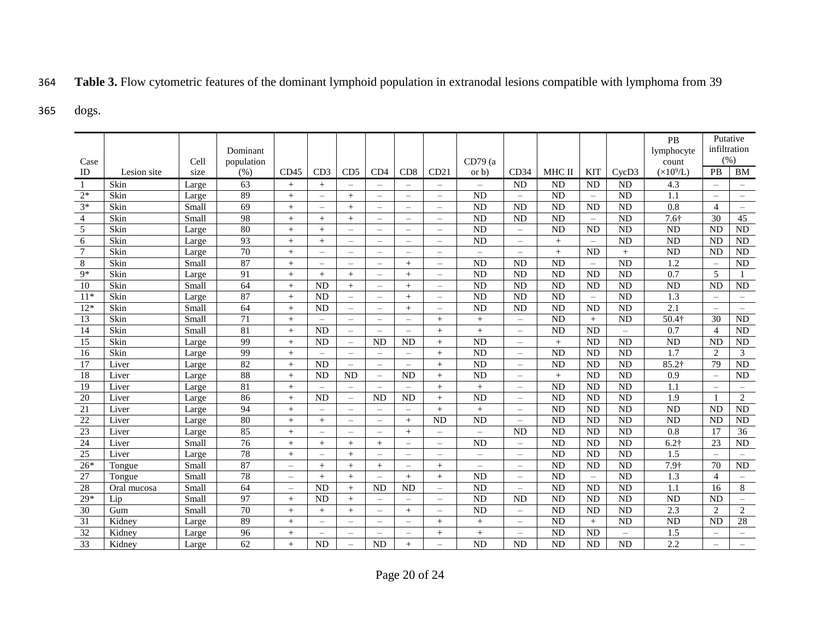# 364 **Table 3.** Flow cytometric features of the dominant lymphoid population in extranodal lesions compatible with lymphoma from 39

### 365 dogs.

|                 |             |       | Dominant        |                          |                          |                          |                          |                          |                          |                          |                          |           |                          |                 | PB<br>lymphocyte    |                          | Putative<br>infiltration<br>(% ) |  |
|-----------------|-------------|-------|-----------------|--------------------------|--------------------------|--------------------------|--------------------------|--------------------------|--------------------------|--------------------------|--------------------------|-----------|--------------------------|-----------------|---------------------|--------------------------|----------------------------------|--|
| Case            |             | Cell  | population      |                          |                          |                          |                          |                          |                          | CD79(a)                  |                          |           |                          |                 | count               |                          |                                  |  |
| ID              | Lesion site | size  | (% )            | CD45                     | CD3                      | CD <sub>5</sub>          | CD4                      | CD8                      | CD21                     | or b)                    | CD34                     | MHC II    | KIT                      | CycD3           | $(\times 10^9$ /L)  | <b>PB</b>                | <b>BM</b>                        |  |
| -1              | Skin        | Large | 63              | $+$                      | $^{+}$                   | $\overline{\phantom{0}}$ | $\equiv$                 |                          | $\overline{\phantom{0}}$ | $\equiv$                 | <b>ND</b>                | <b>ND</b> | <b>ND</b>                | <b>ND</b>       | 4.3                 | $\equiv$                 | $=$                              |  |
| $2*$            | Skin        | Large | 89              | $+$                      | $\equiv$                 | $^{+}$                   | $\equiv$                 | $\overline{\phantom{m}}$ | $\overline{\phantom{0}}$ | <b>ND</b>                | $\equiv$                 | <b>ND</b> | $=$                      | <b>ND</b>       | 1.1                 | $\overline{\phantom{m}}$ | $\equiv$                         |  |
| $3*$            | Skin        | Small | 69              | $+$                      | $\overline{\phantom{0}}$ | $^{+}$                   | $\equiv$                 | $\equiv$                 | $\equiv$                 | <b>ND</b>                | <b>ND</b>                | <b>ND</b> | <b>ND</b>                | <b>ND</b>       | $\overline{0.8}$    | $\overline{4}$           | $\overline{\phantom{m}}$         |  |
| $\overline{4}$  | Skin        | Small | 98              | $+$                      | $+$                      | $^{+}$                   | $\equiv$                 | $\overline{\phantom{m}}$ | $\equiv$                 | <b>ND</b>                | <b>ND</b>                | <b>ND</b> | $\overline{\phantom{m}}$ | <b>ND</b>       | $7.6+$              | 30                       | 45                               |  |
| 5               | Skin        | Large | 80              | $+$                      | $^{+}$                   | $\equiv$                 | $\equiv$                 | $\sim$                   | $\overline{\phantom{0}}$ | ND                       | $\equiv$                 | <b>ND</b> | <b>ND</b>                | <b>ND</b>       | <b>ND</b>           | <b>ND</b>                | <b>ND</b>                        |  |
| 6               | Skin        | Large | 93              | $+$                      | $+$                      | $\equiv$                 | $\overline{\phantom{m}}$ | $\frac{1}{2}$            | $\equiv$                 | ND                       | $\equiv$                 | $+$       | $\equiv$                 | $\overline{ND}$ | $\overline{ND}$     | <b>ND</b>                | <b>ND</b>                        |  |
| $7\phantom{.0}$ | Skin        | Large | $\overline{70}$ | $+$                      | $\equiv$                 | $\equiv$                 | $\overline{\phantom{m}}$ | $\frac{1}{2}$            | $\equiv$                 | $\frac{1}{2}$            | $\equiv$                 | $+$       | <b>ND</b>                |                 | <b>ND</b>           | <b>ND</b>                | <b>ND</b>                        |  |
| 8               | Skin        | Small | 87              | $^{+}$                   | $\equiv$                 | $\overline{\phantom{0}}$ | $\overline{\phantom{m}}$ | $+$                      | $\overline{\phantom{0}}$ | <b>ND</b>                | <b>ND</b>                | <b>ND</b> | $=$                      | <b>ND</b>       | 1.2                 | $\equiv$                 | <b>ND</b>                        |  |
| $9*$            | Skin        | Large | 91              | $+$                      | $+$                      | $^{+}$                   | $\overline{\phantom{m}}$ | $+$                      | $\overline{\phantom{0}}$ | <b>ND</b>                | <b>ND</b>                | <b>ND</b> | <b>ND</b>                | <b>ND</b>       | 0.7                 | 5                        |                                  |  |
| 10              | Skin        | Small | 64              | $+$                      | <b>ND</b>                | $^{+}$                   | $\equiv$                 | $+$                      | $\overline{\phantom{0}}$ | ND                       | <b>ND</b>                | <b>ND</b> | <b>ND</b>                | <b>ND</b>       | <b>ND</b>           | <b>ND</b>                | ND                               |  |
| $11*$           | Skin        | Large | $\overline{87}$ | $+$                      | <b>ND</b>                | $\equiv$                 | $\overline{\phantom{m}}$ | $+$                      | $\overline{\phantom{0}}$ | <b>ND</b>                | <b>ND</b>                | <b>ND</b> | $\equiv$                 | <b>ND</b>       | 1.3                 | $\overline{\phantom{m}}$ | $\equiv$                         |  |
| $12*$           | Skin        | Small | 64              | $+$                      | <b>ND</b>                | $=$                      | $\frac{1}{2}$            | $+$                      | $\overline{\phantom{0}}$ | <b>ND</b>                | <b>ND</b>                | <b>ND</b> | <b>ND</b>                | <b>ND</b>       | $\overline{2.1}$    | $\equiv$                 | $\overline{\phantom{m}}$         |  |
| 13              | Skin        | Small | $\overline{71}$ | $+$                      | $\equiv$                 | $=$                      | $\frac{1}{2}$            | $\qquad \qquad -$        | $^{+}$                   | $\qquad \qquad +$        | $=$                      | <b>ND</b> | $^{+}$                   | <b>ND</b>       | $50.4\dagger$       | 30                       | ND                               |  |
| 14              | Skin        | Small | 81              | $+$                      | <b>ND</b>                | $=$                      | $\frac{1}{2}$            | $\frac{1}{2}$            | $^{+}$                   | $\! + \!\!\!\!$          | $=$                      | <b>ND</b> | <b>ND</b>                | $\equiv$        | 0.7                 | $\overline{4}$           | <b>ND</b>                        |  |
| 15              | Skin        | Large | 99              | $+$                      | <b>ND</b>                | $\equiv$                 | <b>ND</b>                | <b>ND</b>                | $^{+}$                   | <b>ND</b>                | $=$                      | $+$       | <b>ND</b>                | <b>ND</b>       | <b>ND</b>           | <b>ND</b>                | <b>ND</b>                        |  |
| 16              | Skin        | Large | 99              | $^{+}$                   | $\equiv$                 | $=$                      | $\equiv$                 | $\qquad \qquad -$        | $^{+}$                   | <b>ND</b>                | $=$                      | <b>ND</b> | <b>ND</b>                | <b>ND</b>       | 1.7                 | $\overline{2}$           | 3                                |  |
| 17              | Liver       | Large | 82              | $+$                      | <b>ND</b>                | $\equiv$                 | $\frac{1}{2}$            | $\frac{1}{2}$            | $^{+}$                   | <b>ND</b>                | $\equiv$                 | <b>ND</b> | <b>ND</b>                | <b>ND</b>       | $85.2$ <sup>+</sup> | 79                       | <b>ND</b>                        |  |
| 18              | Liver       | Large | 88              | $+$                      | <b>ND</b>                | <b>ND</b>                | $\equiv$                 | <b>ND</b>                | $^{+}$                   | ND                       | $\equiv$                 | $+$       | <b>ND</b>                | <b>ND</b>       | 0.9                 | $\overline{\phantom{0}}$ | <b>ND</b>                        |  |
| 19              | Liver       | Large | 81              | $+$                      | $\equiv$                 | $\equiv$                 | $\equiv$                 | $\frac{1}{2}$            | $^{+}$                   | $+$                      | $\overline{\phantom{m}}$ | <b>ND</b> | <b>ND</b>                | <b>ND</b>       | 1.1                 | $\overline{\phantom{m}}$ | $\overline{\phantom{m}}$         |  |
| 20              | Liver       | Large | 86              | $+$                      | <b>ND</b>                | $\equiv$                 | <b>ND</b>                | <b>ND</b>                | $^{+}$                   | ND                       | $\equiv$                 | <b>ND</b> | <b>ND</b>                | <b>ND</b>       | 1.9                 | $\mathbf{1}$             | 2                                |  |
| $\overline{21}$ | Liver       | Large | 94              | $+$                      | $\equiv$                 | $=$                      | $\equiv$                 | $\equiv$                 | $^{+}$                   | $\qquad \qquad +$        | $=$                      | <b>ND</b> | <b>ND</b>                | <b>ND</b>       | $\overline{ND}$     | <b>ND</b>                | <b>ND</b>                        |  |
| $\overline{22}$ | Liver       | Large | 80              | $^{+}$                   | $^{+}$                   | $=$                      | $\equiv$                 | $+$                      | <b>ND</b>                | <b>ND</b>                | $\equiv$                 | <b>ND</b> | <b>ND</b>                | <b>ND</b>       | $\overline{ND}$     | <b>ND</b>                | <b>ND</b>                        |  |
| 23              | Liver       | Large | 85              | $^{+}$                   |                          | $\overline{\phantom{0}}$ | $\overline{\phantom{m}}$ | $+$                      | $\overline{\phantom{0}}$ | $\equiv$                 | <b>ND</b>                | <b>ND</b> | <b>ND</b>                | <b>ND</b>       | 0.8                 | 17                       | 36                               |  |
| 24              | Liver       | Small | 76              | $+$                      | $+$                      | $^{+}$                   | $+$                      | $\equiv$                 | $\equiv$                 | <b>ND</b>                | $=$                      | <b>ND</b> | <b>ND</b>                | <b>ND</b>       | $6.2\dagger$        | 23                       | <b>ND</b>                        |  |
| 25              | Liver       | Large | 78              | $^{+}$                   | $=$                      | $^{+}$                   | $\equiv$                 | $\overline{\phantom{0}}$ | $\overline{\phantom{0}}$ | $\overline{\phantom{0}}$ | $=$                      | <b>ND</b> | <b>ND</b>                | <b>ND</b>       | 1.5                 | $\overline{\phantom{0}}$ |                                  |  |
| $26*$           | Tongue      | Small | $\overline{87}$ | $\overline{\phantom{0}}$ | $^{+}$                   | $^{+}$                   | $+$                      | $\overline{\phantom{m}}$ | $^{+}$                   | $\overline{\phantom{0}}$ | $\equiv$                 | <b>ND</b> | <b>ND</b>                | <b>ND</b>       | 7.9†                | 70                       | <b>ND</b>                        |  |
| 27              | Tongue      | Small | 78              | $\overline{\phantom{0}}$ | $+$                      | $^{+}$                   | $\equiv$                 | $+$                      | $^{+}$                   | <b>ND</b>                | $\equiv$                 | <b>ND</b> | $=$                      | <b>ND</b>       | 1.3                 | $\overline{4}$           | $=$                              |  |
| 28              | Oral mucosa | Small | 64              | $=$                      | <b>ND</b>                | $^{+}$                   | <b>ND</b>                | <b>ND</b>                | $\equiv$                 | <b>ND</b>                | $=$                      | <b>ND</b> | <b>ND</b>                | <b>ND</b>       | 1.1                 | 16                       | 8                                |  |
| $29*$           | Lip         | Small | 97              | $+$                      | <b>ND</b>                | $^{+}$                   | $\overline{a}$           | $\equiv$                 | $\equiv$                 | <b>ND</b>                | <b>ND</b>                | <b>ND</b> | <b>ND</b>                | <b>ND</b>       | <b>ND</b>           | <b>ND</b>                | $\equiv$                         |  |
| 30              | Gum         | Small | 70              | $+$                      | $+$                      | $^{+}$                   | $\equiv$                 | $+$                      | $\overline{\phantom{0}}$ | ND                       | $=$                      | <b>ND</b> | <b>ND</b>                | <b>ND</b>       | 2.3                 | $\overline{2}$           | $\overline{c}$                   |  |
| 31              | Kidney      | Large | 89              | $+$                      | $\equiv$                 | $=$                      | $\equiv$                 | $\overline{\phantom{m}}$ | $^{+}$                   | $\! + \!\!\!\!$          | $=$                      | <b>ND</b> | $^{+}$                   | <b>ND</b>       | <b>ND</b>           | <b>ND</b>                | 28                               |  |
| $\overline{32}$ | Kidney      | Large | 96              | $+$                      | $\equiv$                 | $\equiv$                 | $\equiv$                 | $\equiv$                 | $^{+}$                   | $^{+}$                   | $\equiv$                 | <b>ND</b> | <b>ND</b>                | $\equiv$        | 1.5                 | $\equiv$                 | $\overline{\phantom{0}}$         |  |
| 33              | Kidney      | Large | 62              | $+$                      | <b>ND</b>                | $=$                      | <b>ND</b>                | $+$                      |                          | ND                       | <b>ND</b>                | <b>ND</b> | <b>ND</b>                | <b>ND</b>       | 2.2                 | $\equiv$                 | $\equiv$                         |  |